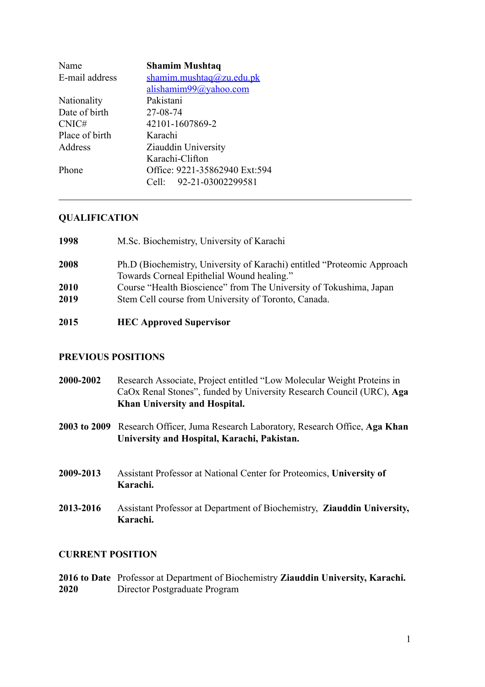| Name           | <b>Shamim Mushtaq</b>         |
|----------------|-------------------------------|
| E-mail address | shamim.mushtaq@zu.edu.pk      |
|                | alishamim99@yahoo.com         |
| Nationality    | Pakistani                     |
| Date of birth  | 27-08-74                      |
| CNIC#          | 42101-1607869-2               |
| Place of birth | Karachi                       |
| Address        | Ziauddin University           |
|                | Karachi-Clifton               |
| Phone          | Office: 9221-35862940 Ext:594 |
|                | Cell: 92-21-03002299581       |
|                |                               |

### **QUALIFICATION**

| 1998 | M.Sc. Biochemistry, University of Karachi                                                                              |
|------|------------------------------------------------------------------------------------------------------------------------|
| 2008 | Ph.D (Biochemistry, University of Karachi) entitled "Proteomic Approach"<br>Towards Corneal Epithelial Wound healing." |
| 2010 | Course "Health Bioscience" from The University of Tokushima, Japan                                                     |
| 2019 | Stem Cell course from University of Toronto, Canada.                                                                   |

# **2015 HEC Approved Supervisor**

### **PREVIOUS POSITIONS**

|           | <b>Khan University and Hospital.</b>                                   |
|-----------|------------------------------------------------------------------------|
|           | CaOx Renal Stones", funded by University Research Council (URC), Aga   |
| 2000-2002 | Research Associate, Project entitled "Low Molecular Weight Proteins in |

- **2003 to 2009** Research Officer, Juma Research Laboratory, Research Office, **Aga Khan University and Hospital, Karachi, Pakistan.**
- **2009-2013** Assistant Professor at National Center for Proteomics, **University of Karachi.**
- **2013-2016** Assistant Professor at Department of Biochemistry, **Ziauddin University, Karachi.**

#### **CURRENT POSITION**

**2016 to Date** Professor at Department of Biochemistry **Ziauddin University, Karachi. 2020** Director Postgraduate Program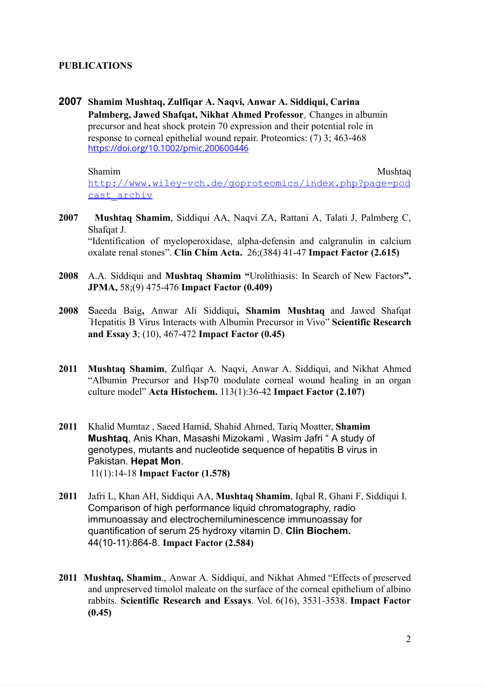### **PUBLICATIONS**

**2007 Shamim [Mushtaq](https://analyticalsciencejournals.onlinelibrary.wiley.com/action/doSearch?ContribAuthorStored=Mushtaq%2C+Shamim), [Zulfiqar](https://analyticalsciencejournals.onlinelibrary.wiley.com/action/doSearch?ContribAuthorStored=Naqvi%2C+Zulfiqar+A) A. Naqvi, Anwar A. [Siddiqui](https://analyticalsciencejournals.onlinelibrary.wiley.com/action/doSearch?ContribAuthorStored=Siddiqui%2C+Anwar+A), [Carina](https://analyticalsciencejournals.onlinelibrary.wiley.com/action/doSearch?ContribAuthorStored=Palmberg%2C+Carina) [Palmberg,](https://analyticalsciencejournals.onlinelibrary.wiley.com/action/doSearch?ContribAuthorStored=Palmberg%2C+Carina) Jawed [Shafqat,](https://analyticalsciencejournals.onlinelibrary.wiley.com/action/doSearch?ContribAuthorStored=Shafqat%2C+Jawed) Nikhat Ahmed [Professor](https://analyticalsciencejournals.onlinelibrary.wiley.com/action/doSearch?ContribAuthorStored=Ahmed%2C+Nikhat)**, Changes in albumin precursor and heat shock protein 70 expression and their potential role in response to corneal epithelial wound repair. Proteomics: (7) 3; 463-468 <https://doi.org/10.1002/pmic.200600446>

Shamim Mushtaq [http://www.wiley-vch.de/goproteomics/index.php?page=pod](http://www.wiley-vch.de/goproteomics/index.php?page=podcast_archiv) [cast\\_archiv](http://www.wiley-vch.de/goproteomics/index.php?page=podcast_archiv)

- **2007 [Mushtaq](http://www.ncbi.nlm.nih.gov/sites/entrez?Db=PubMed&Cmd=Search&Term=%22Mushtaq%20S%22%5BAuthor%5D&itool=EntrezSystem2.PEntrez.Pubmed.Pubmed_ResultsPanel.Pubmed_RVCitation) Shamim**, [Siddiqui](http://www.ncbi.nlm.nih.gov/sites/entrez?Db=PubMed&Cmd=Search&Term=%22Siddiqui%20AA%22%5BAuthor%5D&itool=EntrezSystem2.PEntrez.Pubmed.Pubmed_ResultsPanel.Pubmed_RVCitation) AA, [Naqvi](http://www.ncbi.nlm.nih.gov/sites/entrez?Db=PubMed&Cmd=Search&Term=%22Naqvi%20ZA%22%5BAuthor%5D&itool=EntrezSystem2.PEntrez.Pubmed.Pubmed_ResultsPanel.Pubmed_RVCitation) ZA, [Rattani](http://www.ncbi.nlm.nih.gov/sites/entrez?Db=PubMed&Cmd=Search&Term=%22Rattani%20A%22%5BAuthor%5D&itool=EntrezSystem2.PEntrez.Pubmed.Pubmed_ResultsPanel.Pubmed_RVCitation) A, [Talati](http://www.ncbi.nlm.nih.gov/sites/entrez?Db=PubMed&Cmd=Search&Term=%22Talati%20J%22%5BAuthor%5D&itool=EntrezSystem2.PEntrez.Pubmed.Pubmed_ResultsPanel.Pubmed_RVCitation) J, [Palmberg](http://www.ncbi.nlm.nih.gov/sites/entrez?Db=PubMed&Cmd=Search&Term=%22Palmberg%20C%22%5BAuthor%5D&itool=EntrezSystem2.PEntrez.Pubmed.Pubmed_ResultsPanel.Pubmed_RVCitation) C, [Shafqat](http://www.ncbi.nlm.nih.gov/sites/entrez?Db=PubMed&Cmd=Search&Term=%22Shafqat%20J%22%5BAuthor%5D&itool=EntrezSystem2.PEntrez.Pubmed.Pubmed_ResultsPanel.Pubmed_RVCitation) J. "Identification of myeloperoxidase, alpha-defensin and calgranulin in calcium oxalate renal stones". **Clin Chim Acta.** 26;(384) 41-47 **Impact Factor (2.615)**
- **2008** A.A. Siddiqui and **Mushtaq Shamim "**Urolithiasis: In Search of New Factors**". JPMA,** 58;(9) 475-476 **Impact Factor (0.409)**
- **2008** Saeeda Baig**,** Anwar Ali Siddiqui**, Shamim Mushtaq** and Jawed Shafqat "Hepatitis B Virus Interacts with Albumin Precursor in Vivo" **Scientific Research and Essay 3**; (10), 467-472 **Impact Factor (0.45)**
- **2011 Mushtaq Shamim**, Zulfiqar A. Naqvi, Anwar A. Siddiqui, and Nikhat Ahmed "Albumin Precursor and Hsp70 modulate corneal wound healing in an organ culture model" **Acta Histochem.** 113(1):36-42 **Impact Factor (2.107)**
- **2011** Khalid Mumtaz , Saeed Hamid, Shahid Ahmed, Tariq Moatter, **Shamim Mushtaq**, Anis Khan, Masashi Mizokami , Wasim Jafri " A study of genotypes, mutants and nucleotide sequence of hepatitis B virus in Pakistan. **Hepat Mon**. 11(1):14-18 **Impact Factor (1.578)**
- **2011** [Jafri](http://www.ncbi.nlm.nih.gov/pubmed?term=%22Jafri%20L%22%5BAuthor%5D) L, [Khan](http://www.ncbi.nlm.nih.gov/pubmed?term=%22Khan%20AH%22%5BAuthor%5D) AH, [Siddiqui](http://www.ncbi.nlm.nih.gov/pubmed?term=%22Siddiqui%20AA%22%5BAuthor%5D) AA, **[Mushtaq](http://www.ncbi.nlm.nih.gov/pubmed?term=%22Mushtaq%20S%22%5BAuthor%5D) Shamim**, [Iqbal](http://www.ncbi.nlm.nih.gov/pubmed?term=%22Iqbal%20R%22%5BAuthor%5D) R, [Ghani](http://www.ncbi.nlm.nih.gov/pubmed?term=%22Ghani%20F%22%5BAuthor%5D) F, [Siddiqui](http://www.ncbi.nlm.nih.gov/pubmed?term=%22Siddiqui%20I%22%5BAuthor%5D) I. Comparison of high performance liquid chromatography, radio immunoassay and electrochemiluminescence immunoassay for quantification of serum 25 hydroxy vitamin D. **Clin [Biochem.](http://www.ncbi.nlm.nih.gov/pubmed/21570387)** 44(10-11):864-8. **Impact Factor (2.584)**
- **2011 Mushtaq, Shamim**., Anwar A. Siddiqui, and Nikhat Ahmed "Effects of preserved and unpreserved timolol maleate on the surface of the corneal epithelium of albino rabbits. **Scientific Research and Essays**. Vol. 6(16), 3531-3538. **Impact Factor (0.45)**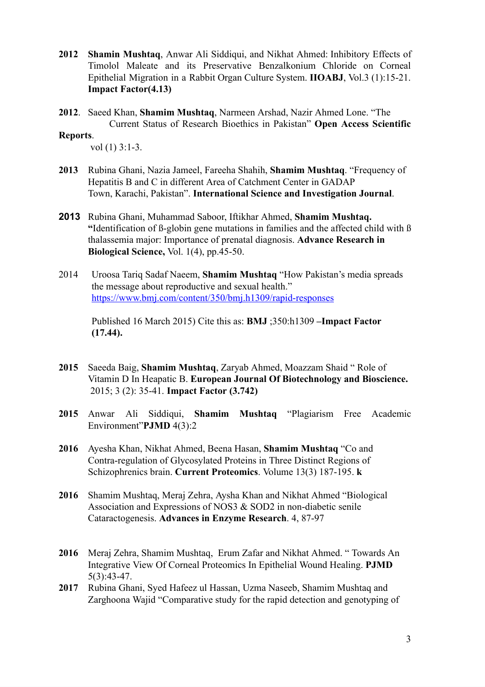- **2012 Shamin Mushtaq**, Anwar Ali Siddiqui, and Nikhat Ahmed: Inhibitory Effects of Timolol Maleate and its Preservative Benzalkonium Chloride on Corneal Epithelial Migration in a Rabbit Organ Culture System. **IIOABJ**, Vol.3 (1):15-21. **Impact Factor(4.13)**
- **2012**. Saeed Khan, **Shamim Mushtaq**, Narmeen Arshad, Nazir Ahmed Lone. "[The](http://www.omicsonline.org/scientific-reports/srep208.php) Current Status of Research [Bioethics](http://www.omicsonline.org/scientific-reports/srep208.php) in Pakistan" **Open Access Scientific**

#### **Reports**.

vol (1) 3:1-3.

- **2013** Rubina Ghani, Nazia Jameel, Fareeha Shahih, **Shamim Mushtaq**. "Frequency of Hepatitis B and C in different Area of Catchment Center in GADAP Town, Karachi, Pakistan". **International Science and Investigation Journal**.
- **2013** Rubina Ghani, Muhammad Saboor, Iftikhar Ahmed, **Shamim Mushtaq. "**Identification of ß-globin gene mutations in families and the affected child with ß thalassemia major: Importance of prenatal diagnosis. **Advance Research in Biological Science,** Vol. 1(4), pp.45-50.
- 2014 Uroosa Tariq Sadaf Naeem, **Shamim Mushtaq** "How Pakistan's media spreads the message about reproductive and sexual health." <https://www.bmj.com/content/350/bmj.h1309/rapid-responses>

Published 16 March 2015) Cite this as: **BMJ** ;350:h1309 **–Impact Factor (17.44).**

- **2015** Saeeda Baig, **Shamim Mushtaq**, Zaryab Ahmed, Moazzam Shaid " Role of Vitamin D In Heapatic B. **European Journal Of Biotechnology and Bioscience.** 2015; 3 (2): 35-41. **Impact Factor (3.742)**
- **2015** Anwar Ali Siddiqui, **Shamim Mushtaq** "[Plagiarism](http://pjmd.zu.edu.pk/pjmd_issue_jul_sep_15.php#2) Free Academic [Environment"](http://pjmd.zu.edu.pk/pjmd_issue_jul_sep_15.php#2)**PJMD** 4(3):2
- **2016** Ayesha Khan, Nikhat Ahmed, Beena Hasan, **Shamim Mushtaq** "Co and Contra-regulation of Glycosylated Proteins in Three Distinct Regions of Schizophrenics brain. **Current Proteomics**. Volume 13(3) 187-195. **k**
- **2016** Shamim Mushtaq, Meraj Zehra, Aysha Khan and Nikhat Ahmed "Biological Association and Expressions of NOS3 & SOD2 in non-diabetic senile Cataractogenesis. **Advances in Enzyme Research**. 4, 87-97
- **2016** Meraj Zehra, Shamim Mushtaq, Erum Zafar and Nikhat Ahmed. " Towards An Integrative View Of Corneal Proteomics In Epithelial Wound Healing. **PJMD** 5(3):43-47.
- **2017** Rubina Ghani, Syed Hafeez ul Hassan, Uzma Naseeb, Shamim Mushtaq and Zarghoona Wajid "Comparative study for the rapid detection and genotyping of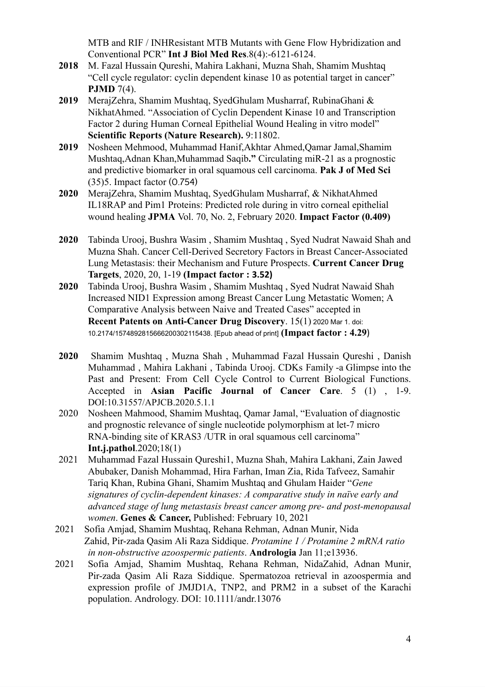MTB and RIF / INHResistant MTB Mutants with Gene Flow Hybridization and Conventional PCR" **Int J Biol Med Res**.8(4):-6121-6124.

- **2018** M. Fazal Hussain Qureshi, Mahira Lakhani, Muzna Shah, Shamim Mushtaq "Cell cycle regulator: cyclin dependent kinase 10 as potential target in cancer" **PJMD** 7(4).
- **2019** MerajZehra, Shamim Mushtaq, SyedGhulam Musharraf, RubinaGhani & NikhatAhmed. "Association of Cyclin Dependent Kinase 10 and Transcription Factor 2 during Human Corneal Epithelial Wound Healing in vitro model" **Scientific Reports (Nature Research).** 9:11802.
- **2019** Nosheen Mehmood, Muhammad Hanif,Akhtar Ahmed,Qamar Jamal,Shamim Mushtaq,Adnan Khan,Muhammad Saqib**."** Circulating miR-21 as a prognostic and predictive biomarker in oral squamous cell carcinoma. **Pak J of Med Sci** (35)5. Impact factor (0.754)
- **2020** MerajZehra, Shamim Mushtaq, SyedGhulam Musharraf, & NikhatAhmed IL18RAP and Pim1 Proteins: Predicted role during in vitro corneal epithelial wound healing **JPMA** Vol. 70, No. 2, February 2020. **Impact Factor (0.409)**
- **2020** Tabinda Urooj, Bushra Wasim , Shamim Mushtaq , Syed Nudrat Nawaid Shah and Muzna Shah. Cancer Cell-Derived Secretory Factors in Breast Cancer-Associated Lung Metastasis: their Mechanism and Future Prospects. **Current Cancer Drug Targets**, 2020, 20, 1-19 **(Impact factor : 3.52)**
- **2020** Tabinda Urooj, Bushra Wasim , Shamim Mushtaq , Syed Nudrat Nawaid Shah Increased NID1 Expression among Breast Cancer Lung Metastatic Women; A Comparative Analysis between Naive and Treated Cases" accepted in **Recent Patents on Anti-Cancer Drug Discovery**. 15(1) 2020 Mar 1. doi: 10.2174/1574892815666200302115438. [Epub ahead of print] **(Impact factor : 4.29**)
- **2020** Shamim Mushtaq , Muzna Shah , Muhammad Fazal Hussain Qureshi , Danish Muhammad , Mahira Lakhani , Tabinda Urooj. CDKs Family -a Glimpse into the Past and Present: From Cell Cycle Control to Current Biological Functions. Accepted in **Asian Pacific Journal of Cancer Care**. 5 (1) , 1-9. DOI:10.31557/APJCB.2020.5.1.1
- 2020 Nosheen Mahmood, Shamim Mushtaq, Qamar Jamal, "Evaluation of diagnostic and prognostic relevance of single nucleotide polymorphism at let-7 micro RNA-binding site of KRAS3 /UTR in oral squamous cell carcinoma" **Int.j.pathol**.2020;18(1)
- 2021 Muhammad Fazal Hussain Qureshi1, Muzna Shah, Mahira Lakhani, Zain Jawed Abubaker, Danish Mohammad, Hira Farhan, Iman Zia, Rida Tafveez, Samahir Tariq Khan, Rubina Ghani, Shamim Mushtaq and Ghulam Haider "*Gene signatures of cyclin-dependent kinases: A comparative study in naïve early and advanced stage of lung metastasis breast cancer among pre- and post-menopausal women*. **Genes & Cancer,** Published: February 10, 2021
- 2021 Sofia Amjad, Shamim Mushtaq, Rehana Rehman, Adnan Munir, Nida Zahid, Pir-zada Qasim Ali Raza Siddique. *Protamine 1 / Protamine 2 mRNA ratio in non-obstructive azoospermic patients*. **Andrologia** Jan 11;e13936.
- 2021 Sofia Amjad, Shamim Mushtaq, Rehana Rehman, NidaZahid, Adnan Munir, Pir-zada Qasim Ali Raza Siddique. Spermatozoa retrieval in azoospermia and expression profile of JMJD1A, TNP2, and PRM2 in a subset of the Karachi population. Andrology. DOI: 10.1111/andr.13076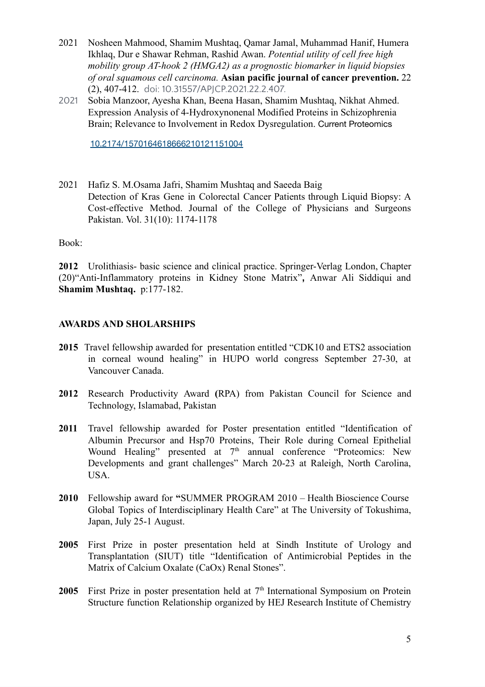- 2021 Nosheen Mahmood, Shamim Mushtaq, Qamar Jamal, Muhammad Hanif, Humera Ikhlaq, Dur e Shawar Rehman, Rashid Awan. *Potential utility of cell free high mobility group AT-hook 2 (HMGA2) as a prognostic biomarker in liquid biopsies of oral squamous cell carcinoma.* **Asian pacific journal of cancer prevention.** 22 (2), 407-412. doi: 10.31557/APJCP.2021.22.2.407.
- 2021 Sobia Manzoor, Ayesha Khan, Beena Hasan, Shamim Mushtaq, Nikhat Ahmed. Expression Analysis of [4-Hydroxynonenal](https://www.researchgate.net/publication/348918691_Expression_Analysis_of_4-Hydroxynonenal_Modified_Proteins_in_Schizophrenia_Brain_Relevance_to_Involvement_in_Redox_Dysregulation?_sg=slSvQlzLt--7HUagYOmYe7MpjXx3tq83ChJuSYKpjI0tEolY5fcVAIpfDlFFbfp_FVk9UBJ5CMxUUeh3hqz9KD_JQuny5_1sgMKQ4x6j.FwVXdqKszlVuKJsmr-TsvjJa8ge5Pd8YGXwRNGwGAxBfcWMPHVmy-iv3cZ2vzyimx5aA3tjLf9EAHUVnkujXZA) Modified Proteins in Schizophrenia Brain; Relevance to Involvement in Redox [Dysregulation](https://www.researchgate.net/publication/348918691_Expression_Analysis_of_4-Hydroxynonenal_Modified_Proteins_in_Schizophrenia_Brain_Relevance_to_Involvement_in_Redox_Dysregulation?_sg=slSvQlzLt--7HUagYOmYe7MpjXx3tq83ChJuSYKpjI0tEolY5fcVAIpfDlFFbfp_FVk9UBJ5CMxUUeh3hqz9KD_JQuny5_1sgMKQ4x6j.FwVXdqKszlVuKJsmr-TsvjJa8ge5Pd8YGXwRNGwGAxBfcWMPHVmy-iv3cZ2vzyimx5aA3tjLf9EAHUVnkujXZA). Current Proteomics

[10.2174/1570164618666210121151004](https://doi.org/10.2174/1570164618666210121151004)

2021 Hafiz S. M.Osama Jafri, Shamim Mushtaq and Saeeda Baig Detection of Kras Gene in Colorectal Cancer Patients through Liquid Biopsy: A Cost-effective Method. Journal of the College of Physicians and Surgeons Pakistan. Vol. 31(10): 1174-1178

Book:

**2012** Urolithiasis- basic science and clinical practice. Springer-Verlag London, Chapter (20)"Anti-Inflammatory proteins in Kidney Stone Matrix"**,** Anwar Ali Siddiqui and **Shamim Mushtaq.** p:177-182.

### **AWARDS AND SHOLARSHIPS**

- **2015** Travel fellowship awarded for presentation entitled "CDK10 and ETS2 association in corneal wound healing" in HUPO world congress September 27-30, at Vancouver Canada.
- **2012** Research Productivity Award **(**RPA) from Pakistan Council for Science and Technology, Islamabad, Pakistan
- **2011** Travel fellowship awarded for Poster presentation entitled "Identification of Albumin Precursor and Hsp70 Proteins, Their Role during Corneal Epithelial Wound Healing" presented at 7<sup>th</sup> annual conference "Proteomics: New Developments and grant challenges" March 20-23 at Raleigh, North Carolina, USA.
- **2010** Fellowship award for **"**SUMMER PROGRAM 2010 Health Bioscience Course Global Topics of Interdisciplinary Health Care" at The University of Tokushima, Japan, July 25-1 August.
- **2005** First Prize in poster presentation held at Sindh Institute of Urology and Transplantation (SIUT) title "Identification of Antimicrobial Peptides in the Matrix of Calcium Oxalate (CaOx) Renal Stones".
- **2005** First Prize in poster presentation held at  $7<sup>th</sup>$  International Symposium on Protein Structure function Relationship organized by HEJ Research Institute of Chemistry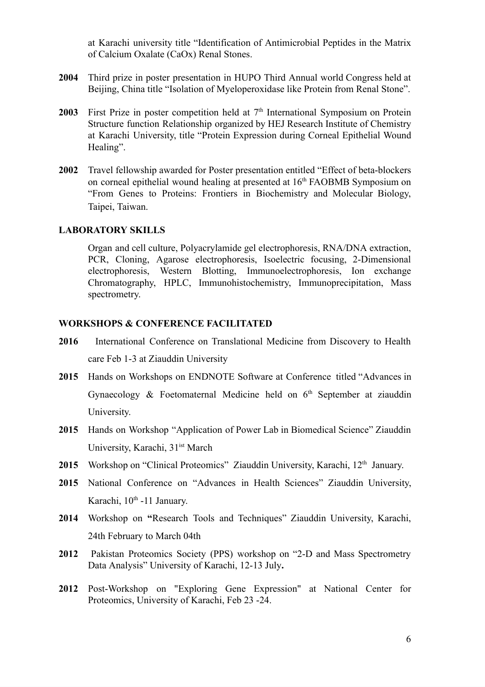at Karachi university title "Identification of Antimicrobial Peptides in the Matrix of Calcium Oxalate (CaOx) Renal Stones.

- **2004** Third prize in poster presentation in HUPO Third Annual world Congress held at Beijing, China title "Isolation of Myeloperoxidase like Protein from Renal Stone".
- **2003** First Prize in poster competition held at  $7<sup>th</sup>$  International Symposium on Protein Structure function Relationship organized by HEJ Research Institute of Chemistry at Karachi University, title "Protein Expression during Corneal Epithelial Wound Healing".
- **2002** Travel fellowship awarded for Poster presentation entitled "Effect of beta-blockers on corneal epithelial wound healing at presented at 16<sup>th</sup> FAOBMB Symposium on "From Genes to Proteins: Frontiers in Biochemistry and Molecular Biology, Taipei, Taiwan.

#### **LABORATORY SKILLS**

Organ and cell culture, Polyacrylamide gel electrophoresis, RNA/DNA extraction, PCR, Cloning, Agarose electrophoresis, Isoelectric focusing, 2-Dimensional electrophoresis, Western Blotting, Immunoelectrophoresis, Ion exchange Chromatography, HPLC, Immunohistochemistry, Immunoprecipitation, Mass spectrometry.

#### **WORKSHOPS & CONFERENCE FACILITATED**

- **2016** International Conference on Translational Medicine from Discovery to Health care Feb 1-3 at Ziauddin University
- **2015** Hands on Workshops on ENDNOTE Software at Conference titled "Advances in Gynaecology & Foetomaternal Medicine held on 6<sup>th</sup> September at ziauddin University.
- **2015** Hands on Workshop "Application of Power Lab in Biomedical Science" Ziauddin University, Karachi, 31<sup>ist</sup> March
- 2015 Workshop on "Clinical Proteomics" Ziauddin University, Karachi, 12<sup>th</sup> January.
- 2015 National Conference on "Advances in Health Sciences" Ziauddin University, Karachi, 10<sup>th</sup> -11 January.
- **2014** Workshop on **"**Research Tools and Techniques" Ziauddin University, Karachi, 24th February to March 04th
- **2012** Pakistan Proteomics Society (PPS) workshop on "2-D and Mass Spectrometry Data Analysis" University of Karachi, 12-13 July**.**
- **2012** Post-Workshop on "Exploring Gene Expression" at National Center for Proteomics, University of Karachi, Feb 23 -24.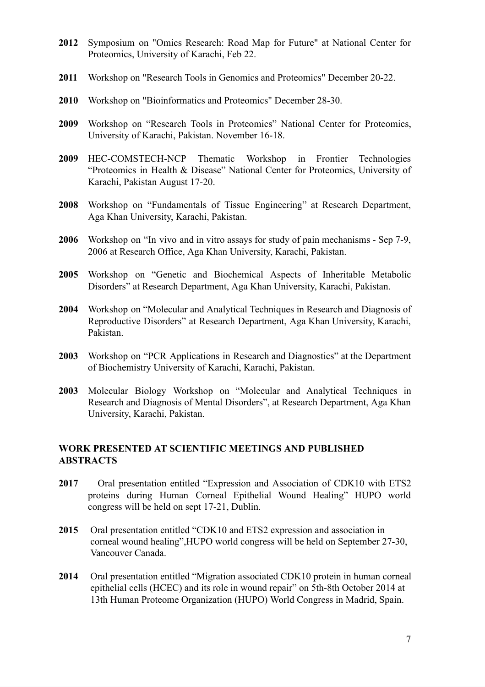- **2012** Symposium on "Omics Research: Road Map for Future" at National Center for Proteomics, University of Karachi, Feb 22.
- **2011** Workshop on "Research Tools in Genomics and Proteomics" December 20-22.
- **2010** Workshop on "Bioinformatics and Proteomics" December 28-30.
- **2009** Workshop on "Research Tools in Proteomics" National Center for Proteomics, University of Karachi, Pakistan. November 16-18.
- **2009** HEC-COMSTECH-NCP Thematic Workshop in Frontier Technologies "Proteomics in Health & Disease" National Center for Proteomics, University of Karachi, Pakistan August 17-20.
- **2008** Workshop on "Fundamentals of Tissue Engineering" at Research Department, Aga Khan University, Karachi, Pakistan.
- **2006** Workshop on "In vivo and in vitro assays for study of pain mechanisms Sep 7-9, 2006 at Research Office, Aga Khan University, Karachi, Pakistan.
- **2005** Workshop on "Genetic and Biochemical Aspects of Inheritable Metabolic Disorders" at Research Department, Aga Khan University, Karachi, Pakistan.
- **2004** Workshop on "Molecular and Analytical Techniques in Research and Diagnosis of Reproductive Disorders" at Research Department, Aga Khan University, Karachi, Pakistan.
- **2003** Workshop on "PCR Applications in Research and Diagnostics" at the Department of Biochemistry University of Karachi, Karachi, Pakistan.
- **2003** Molecular Biology Workshop on "Molecular and Analytical Techniques in Research and Diagnosis of Mental Disorders", at Research Department, Aga Khan University, Karachi, Pakistan.

## **WORK PRESENTED AT SCIENTIFIC MEETINGS AND PUBLISHED ABSTRACTS**

- **2017** Oral presentation entitled "Expression and Association of CDK10 with ETS2 proteins during Human Corneal Epithelial Wound Healing" HUPO world congress will be held on sept 17-21, Dublin.
- **2015** Oral presentation entitled "CDK10 and ETS2 expression and association in corneal wound healing",HUPO world congress will be held on September 27-30, Vancouver Canada.
- **2014** Oral presentation entitled "Migration associated CDK10 protein in human corneal epithelial cells (HCEC) and its role in wound repair" on 5th-8th October 2014 at 13th Human Proteome Organization (HUPO) World Congress in Madrid, Spain.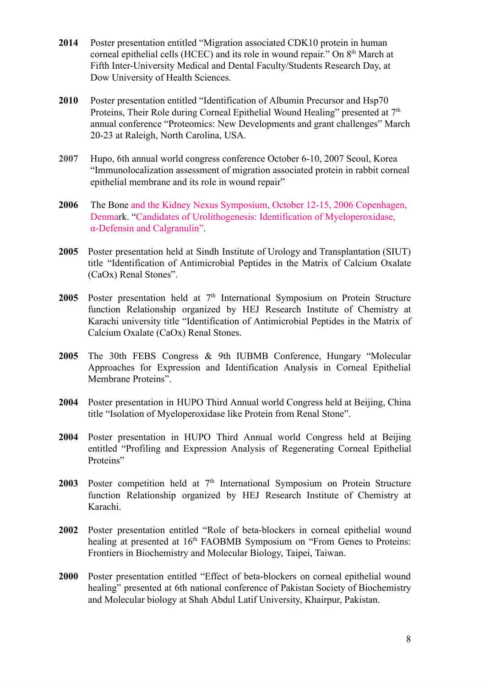- **2014** Poster presentation entitled "Migration associated CDK10 protein in human corneal epithelial cells (HCEC) and its role in wound repair." On 8<sup>th</sup> March at Fifth Inter-University Medical and Dental Faculty/Students Research Day, at Dow University of Health Sciences.
- **2010** Poster presentation entitled "Identification of Albumin Precursor and Hsp70 Proteins, Their Role during Corneal Epithelial Wound Healing" presented at  $7<sup>th</sup>$ annual conference "Proteomics: New Developments and grant challenges" March 20-23 at Raleigh, North Carolina, USA.
- **2007** Hupo, 6th annual world congress conference October 6-10, 2007 Seoul, Korea "Immunolocalization assessment of migration associated protein in rabbit corneal epithelial membrane and its role in wound repair"
- **2006** The Bone and the Kidney Nexus Symposium, October 12-15, 2006 Copenhagen, Denmark. "Candidates of Urolithogenesis: Identification of Myeloperoxidase, α-Defensin and Calgranulin".
- **2005** Poster presentation held at Sindh Institute of Urology and Transplantation (SIUT) title "Identification of Antimicrobial Peptides in the Matrix of Calcium Oxalate (CaOx) Renal Stones".
- 2005 Poster presentation held at 7<sup>th</sup> International Symposium on Protein Structure function Relationship organized by HEJ Research Institute of Chemistry at Karachi university title "Identification of Antimicrobial Peptides in the Matrix of Calcium Oxalate (CaOx) Renal Stones.
- **2005** The 30th FEBS Congress & 9th IUBMB [Conference,](http://www.febs-iubmb-2005.com/) Hungary "Molecular Approaches for Expression and Identification Analysis in Corneal Epithelial Membrane Proteins".
- **2004** Poster presentation in HUPO Third Annual world Congress held at Beijing, China title "Isolation of Myeloperoxidase like Protein from Renal Stone".
- **2004** Poster presentation in HUPO Third Annual world Congress held at Beijing entitled "Profiling and Expression Analysis of Regenerating Corneal Epithelial Proteins"
- 2003 Poster competition held at 7<sup>th</sup> International Symposium on Protein Structure function Relationship organized by HEJ Research Institute of Chemistry at Karachi.
- **2002** Poster presentation entitled "Role of beta-blockers in corneal epithelial wound healing at presented at 16<sup>th</sup> FAOBMB Symposium on "From Genes to Proteins: Frontiers in Biochemistry and Molecular Biology, Taipei, Taiwan.
- **2000** Poster presentation entitled "Effect of beta-blockers on corneal epithelial wound healing" presented at 6th national conference of Pakistan Society of Biochemistry and Molecular biology at Shah Abdul Latif University, Khairpur, Pakistan.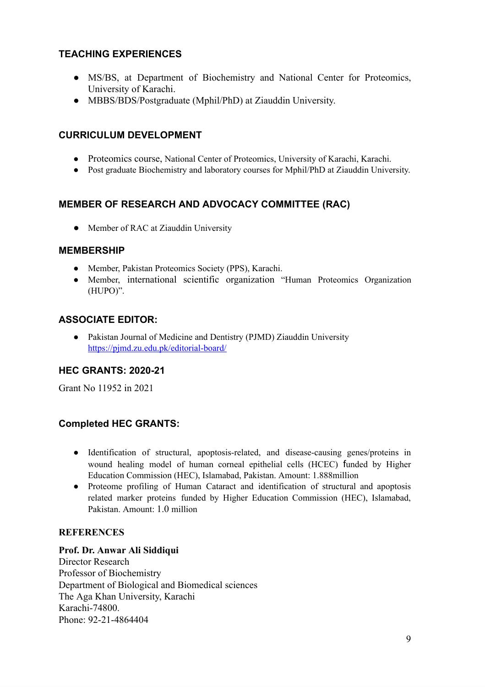# **TEACHING EXPERIENCES**

- MS/BS, at Department of Biochemistry and National Center for Proteomics, University of Karachi.
- MBBS/BDS/Postgraduate (Mphil/PhD) at Ziauddin University.

## **CURRICULUM DEVELOPMENT**

- Proteomics course, National Center of Proteomics, University of Karachi, Karachi.
- Post graduate Biochemistry and laboratory courses for Mphil/PhD at Ziauddin University.

## **MEMBER OF RESEARCH AND ADVOCACY COMMITTEE (RAC)**

• Member of RAC at Ziauddin University

### **MEMBERSHIP**

- Member, Pakistan Proteomics Society (PPS), Karachi.
- Member, international scientific organization "Human Proteomics Organization (HUPO)".

# **ASSOCIATE EDITOR:**

● Pakistan Journal of Medicine and Dentistry (PJMD) Ziauddin University <https://pjmd.zu.edu.pk/editorial-board/>

### **HEC GRANTS: 2020-21**

Grant No 11952 in 2021

# **Completed HEC GRANTS:**

- Identification of structural, apoptosis-related, and disease-causing genes/proteins in wound healing model of human corneal epithelial cells (HCEC) funded by Higher Education Commission (HEC), Islamabad, Pakistan. Amount: 1.888million
- Proteome profiling of Human Cataract and identification of structural and apoptosis related marker proteins funded by Higher Education Commission (HEC), Islamabad, Pakistan. Amount: 1.0 million

### **REFERENCES**

#### **Prof. Dr. Anwar Ali Siddiqui**

Director Research Professor of Biochemistry Department of Biological and Biomedical sciences The Aga Khan University, Karachi Karachi-74800. Phone: 92-21-4864404